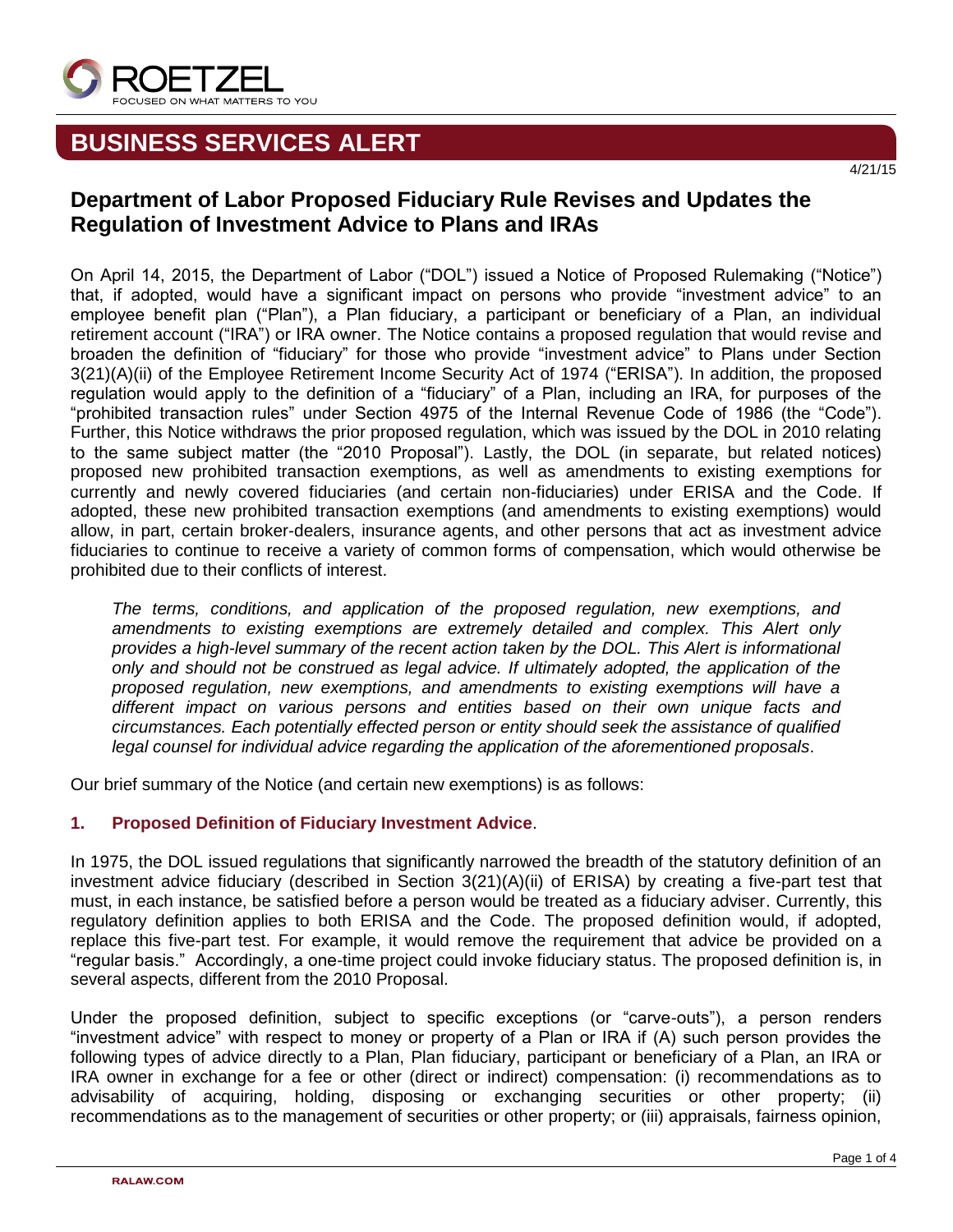

# **BUSINESS SERVICES ALERT**

# **Department of Labor Proposed Fiduciary Rule Revises and Updates the Regulation of Investment Advice to Plans and IRAs**

On April 14, 2015, the Department of Labor ("DOL") issued a Notice of Proposed Rulemaking ("Notice") that, if adopted, would have a significant impact on persons who provide "investment advice" to an employee benefit plan ("Plan"), a Plan fiduciary, a participant or beneficiary of a Plan, an individual retirement account ("IRA") or IRA owner. The Notice contains a proposed regulation that would revise and broaden the definition of "fiduciary" for those who provide "investment advice" to Plans under Section 3(21)(A)(ii) of the Employee Retirement Income Security Act of 1974 ("ERISA"). In addition, the proposed regulation would apply to the definition of a "fiduciary" of a Plan, including an IRA, for purposes of the "prohibited transaction rules" under Section 4975 of the Internal Revenue Code of 1986 (the "Code"). Further, this Notice withdraws the prior proposed regulation, which was issued by the DOL in 2010 relating to the same subject matter (the "2010 Proposal"). Lastly, the DOL (in separate, but related notices) proposed new prohibited transaction exemptions, as well as amendments to existing exemptions for currently and newly covered fiduciaries (and certain non-fiduciaries) under ERISA and the Code. If adopted, these new prohibited transaction exemptions (and amendments to existing exemptions) would allow, in part, certain broker-dealers, insurance agents, and other persons that act as investment advice fiduciaries to continue to receive a variety of common forms of compensation, which would otherwise be prohibited due to their conflicts of interest.

*The terms, conditions, and application of the proposed regulation, new exemptions, and amendments to existing exemptions are extremely detailed and complex. This Alert only provides a high-level summary of the recent action taken by the DOL. This Alert is informational only and should not be construed as legal advice. If ultimately adopted, the application of the proposed regulation, new exemptions, and amendments to existing exemptions will have a different impact on various persons and entities based on their own unique facts and circumstances. Each potentially effected person or entity should seek the assistance of qualified legal counsel for individual advice regarding the application of the aforementioned proposals*.

Our brief summary of the Notice (and certain new exemptions) is as follows:

### **1. Proposed Definition of Fiduciary Investment Advice**.

In 1975, the DOL issued regulations that significantly narrowed the breadth of the statutory definition of an investment advice fiduciary (described in Section 3(21)(A)(ii) of ERISA) by creating a five-part test that must, in each instance, be satisfied before a person would be treated as a fiduciary adviser. Currently, this regulatory definition applies to both ERISA and the Code. The proposed definition would, if adopted, replace this five-part test. For example, it would remove the requirement that advice be provided on a "regular basis." Accordingly, a one-time project could invoke fiduciary status. The proposed definition is, in several aspects, different from the 2010 Proposal.

Under the proposed definition, subject to specific exceptions (or "carve-outs"), a person renders "investment advice" with respect to money or property of a Plan or IRA if (A) such person provides the following types of advice directly to a Plan, Plan fiduciary, participant or beneficiary of a Plan, an IRA or IRA owner in exchange for a fee or other (direct or indirect) compensation: (i) recommendations as to advisability of acquiring, holding, disposing or exchanging securities or other property; (ii) recommendations as to the management of securities or other property; or (iii) appraisals, fairness opinion,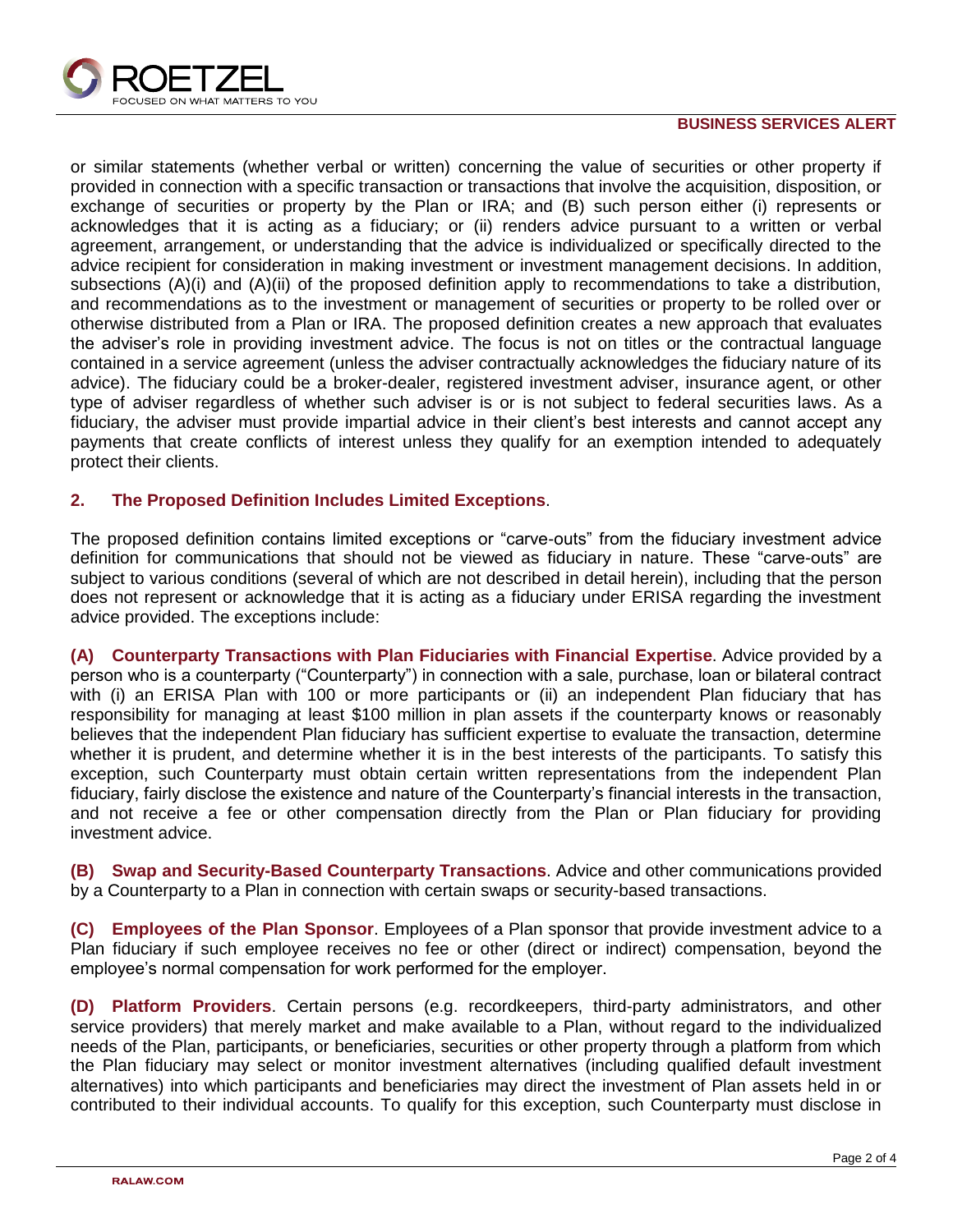

#### **BUSINESS SERVICES ALERT**

or similar statements (whether verbal or written) concerning the value of securities or other property if provided in connection with a specific transaction or transactions that involve the acquisition, disposition, or exchange of securities or property by the Plan or IRA; and (B) such person either (i) represents or acknowledges that it is acting as a fiduciary; or (ii) renders advice pursuant to a written or verbal agreement, arrangement, or understanding that the advice is individualized or specifically directed to the advice recipient for consideration in making investment or investment management decisions. In addition, subsections (A)(i) and (A)(ii) of the proposed definition apply to recommendations to take a distribution, and recommendations as to the investment or management of securities or property to be rolled over or otherwise distributed from a Plan or IRA. The proposed definition creates a new approach that evaluates the adviser's role in providing investment advice. The focus is not on titles or the contractual language contained in a service agreement (unless the adviser contractually acknowledges the fiduciary nature of its advice). The fiduciary could be a broker-dealer, registered investment adviser, insurance agent, or other type of adviser regardless of whether such adviser is or is not subject to federal securities laws. As a fiduciary, the adviser must provide impartial advice in their client's best interests and cannot accept any payments that create conflicts of interest unless they qualify for an exemption intended to adequately protect their clients.

#### **2. The Proposed Definition Includes Limited Exceptions**.

The proposed definition contains limited exceptions or "carve-outs" from the fiduciary investment advice definition for communications that should not be viewed as fiduciary in nature. These "carve-outs" are subject to various conditions (several of which are not described in detail herein), including that the person does not represent or acknowledge that it is acting as a fiduciary under ERISA regarding the investment advice provided. The exceptions include:

**(A) Counterparty Transactions with Plan Fiduciaries with Financial Expertise**. Advice provided by a person who is a counterparty ("Counterparty") in connection with a sale, purchase, loan or bilateral contract with (i) an ERISA Plan with 100 or more participants or (ii) an independent Plan fiduciary that has responsibility for managing at least \$100 million in plan assets if the counterparty knows or reasonably believes that the independent Plan fiduciary has sufficient expertise to evaluate the transaction, determine whether it is prudent, and determine whether it is in the best interests of the participants. To satisfy this exception, such Counterparty must obtain certain written representations from the independent Plan fiduciary, fairly disclose the existence and nature of the Counterparty's financial interests in the transaction, and not receive a fee or other compensation directly from the Plan or Plan fiduciary for providing investment advice.

**(B) Swap and Security-Based Counterparty Transactions**. Advice and other communications provided by a Counterparty to a Plan in connection with certain swaps or security-based transactions.

**(C) Employees of the Plan Sponsor**. Employees of a Plan sponsor that provide investment advice to a Plan fiduciary if such employee receives no fee or other (direct or indirect) compensation, beyond the employee's normal compensation for work performed for the employer.

**(D) Platform Providers**. Certain persons (e.g. recordkeepers, third-party administrators, and other service providers) that merely market and make available to a Plan, without regard to the individualized needs of the Plan, participants, or beneficiaries, securities or other property through a platform from which the Plan fiduciary may select or monitor investment alternatives (including qualified default investment alternatives) into which participants and beneficiaries may direct the investment of Plan assets held in or contributed to their individual accounts. To qualify for this exception, such Counterparty must disclose in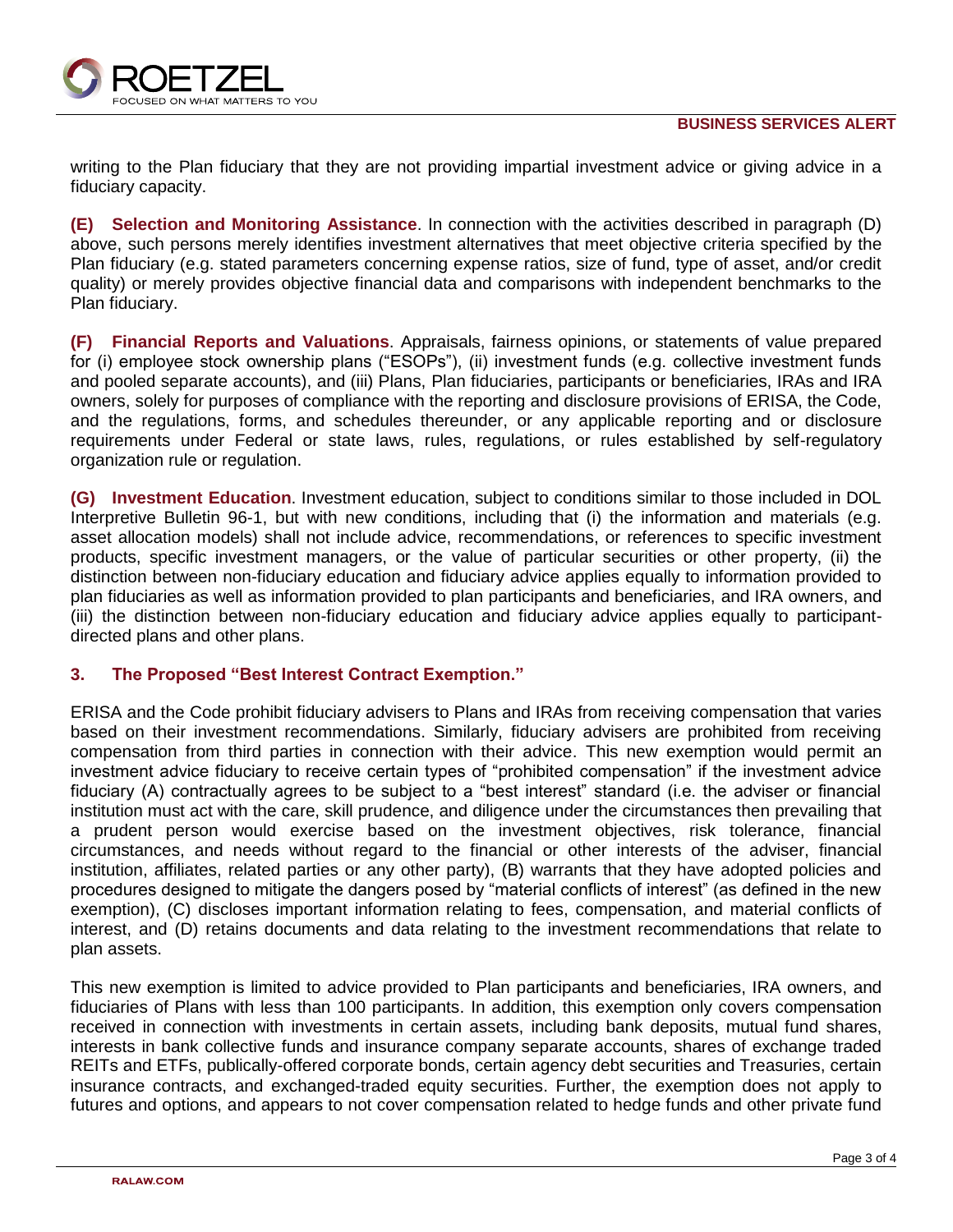

writing to the Plan fiduciary that they are not providing impartial investment advice or giving advice in a fiduciary capacity.

**(E) Selection and Monitoring Assistance**. In connection with the activities described in paragraph (D) above, such persons merely identifies investment alternatives that meet objective criteria specified by the Plan fiduciary (e.g. stated parameters concerning expense ratios, size of fund, type of asset, and/or credit quality) or merely provides objective financial data and comparisons with independent benchmarks to the Plan fiduciary.

**(F) Financial Reports and Valuations**. Appraisals, fairness opinions, or statements of value prepared for (i) employee stock ownership plans ("ESOPs"), (ii) investment funds (e.g. collective investment funds and pooled separate accounts), and (iii) Plans, Plan fiduciaries, participants or beneficiaries, IRAs and IRA owners, solely for purposes of compliance with the reporting and disclosure provisions of ERISA, the Code, and the regulations, forms, and schedules thereunder, or any applicable reporting and or disclosure requirements under Federal or state laws, rules, regulations, or rules established by self-regulatory organization rule or regulation.

**(G) Investment Education**. Investment education, subject to conditions similar to those included in DOL Interpretive Bulletin 96-1, but with new conditions, including that (i) the information and materials (e.g. asset allocation models) shall not include advice, recommendations, or references to specific investment products, specific investment managers, or the value of particular securities or other property, (ii) the distinction between non-fiduciary education and fiduciary advice applies equally to information provided to plan fiduciaries as well as information provided to plan participants and beneficiaries, and IRA owners, and (iii) the distinction between non-fiduciary education and fiduciary advice applies equally to participantdirected plans and other plans.

#### **3. The Proposed "Best Interest Contract Exemption."**

ERISA and the Code prohibit fiduciary advisers to Plans and IRAs from receiving compensation that varies based on their investment recommendations. Similarly, fiduciary advisers are prohibited from receiving compensation from third parties in connection with their advice. This new exemption would permit an investment advice fiduciary to receive certain types of "prohibited compensation" if the investment advice fiduciary (A) contractually agrees to be subject to a "best interest" standard (i.e. the adviser or financial institution must act with the care, skill prudence, and diligence under the circumstances then prevailing that a prudent person would exercise based on the investment objectives, risk tolerance, financial circumstances, and needs without regard to the financial or other interests of the adviser, financial institution, affiliates, related parties or any other party), (B) warrants that they have adopted policies and procedures designed to mitigate the dangers posed by "material conflicts of interest" (as defined in the new exemption), (C) discloses important information relating to fees, compensation, and material conflicts of interest, and (D) retains documents and data relating to the investment recommendations that relate to plan assets.

This new exemption is limited to advice provided to Plan participants and beneficiaries, IRA owners, and fiduciaries of Plans with less than 100 participants. In addition, this exemption only covers compensation received in connection with investments in certain assets, including bank deposits, mutual fund shares, interests in bank collective funds and insurance company separate accounts, shares of exchange traded REITs and ETFs, publically-offered corporate bonds, certain agency debt securities and Treasuries, certain insurance contracts, and exchanged-traded equity securities. Further, the exemption does not apply to futures and options, and appears to not cover compensation related to hedge funds and other private fund